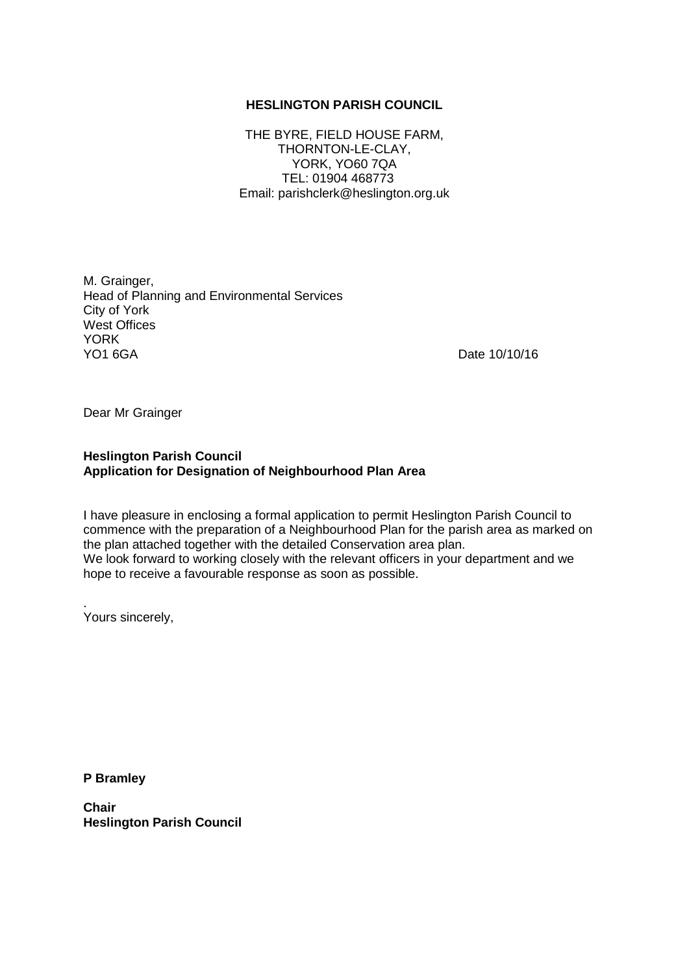#### **HESLINGTON PARISH COUNCIL**

THE BYRE, FIELD HOUSE FARM, THORNTON-LE-CLAY, YORK, YO60 7QA TEL: 01904 468773 Email: parishclerk@heslington.org.uk

M. Grainger, Head of Planning and Environmental Services City of York West Offices YORK<br>YO1 6GA

Date 10/10/16

Dear Mr Grainger

## **Heslington Parish Council Application for Designation of Neighbourhood Plan Area**

I have pleasure in enclosing a formal application to permit Heslington Parish Council to commence with the preparation of a Neighbourhood Plan for the parish area as marked on the plan attached together with the detailed Conservation area plan. We look forward to working closely with the relevant officers in your department and we hope to receive a favourable response as soon as possible.

. Yours sincerely,

**P Bramley** 

**Chair Heslington Parish Council**